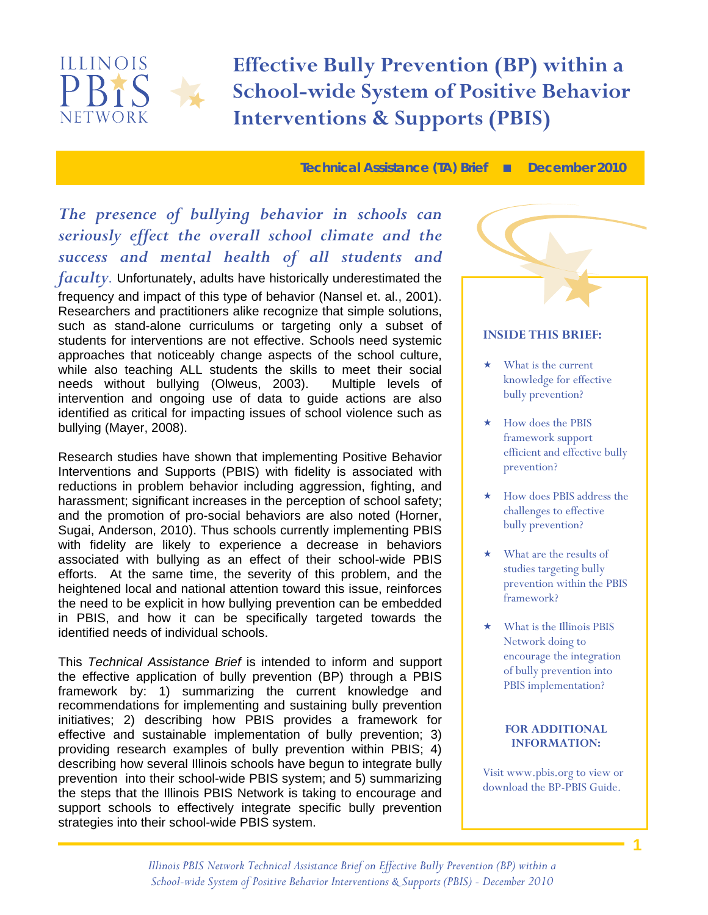

 **School-wide System of Positive Behavior Effective Bully Prevention (BP) within a Interventions & Supports (PBIS)** 

**Technical Assistance (TA) Brief December 2010** 

### *The presence of bullying behavior in schools can seriously effect the overall school climate and the success and mental health of all students and*

*faculty.* Unfortunately, adults have historically underestimated the frequency and impact of this type of behavior (Nansel et. al., 2001). Researchers and practitioners alike recognize that simple solutions, such as stand-alone curriculums or targeting only a subset of students for interventions are not effective. Schools need systemic approaches that noticeably change aspects of the school culture, while also teaching ALL students the skills to meet their social needs without bullying (Olweus, 2003). Multiple levels of intervention and ongoing use of data to guide actions are also identified as critical for impacting issues of school violence such as bullying (Mayer, 2008).

Research studies have shown that implementing Positive Behavior Interventions and Supports (PBIS) with fidelity is associated with reductions in problem behavior including aggression, fighting, and harassment; significant increases in the perception of school safety; and the promotion of pro-social behaviors are also noted (Horner, Sugai, Anderson, 2010). Thus schools currently implementing PBIS with fidelity are likely to experience a decrease in behaviors associated with bullying as an effect of their school-wide PBIS efforts. At the same time, the severity of this problem, and the heightened local and national attention toward this issue, reinforces the need to be explicit in how bullying prevention can be embedded in PBIS, and how it can be specifically targeted towards the identified needs of individual schools.

This *Technical Assistance Brief* is intended to inform and support the effective application of bully prevention (BP) through a PBIS framework by: 1) summarizing the current knowledge and recommendations for implementing and sustaining bully prevention initiatives; 2) describing how PBIS provides a framework for effective and sustainable implementation of bully prevention; 3) providing research examples of bully prevention within PBIS; 4) describing how several Illinois schools have begun to integrate bully prevention into their school-wide PBIS system; and 5) summarizing the steps that the Illinois PBIS Network is taking to encourage and support schools to effectively integrate specific bully prevention strategies into their school-wide PBIS system.

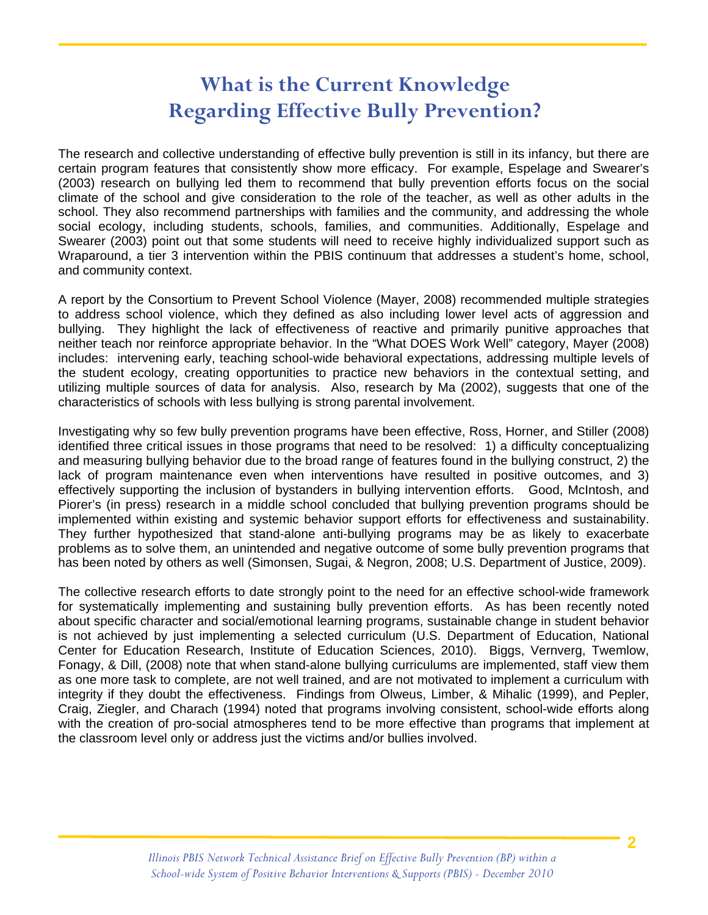## **What is the Current Knowledge Regarding Effective Bully Prevention?**

Ī

The research and collective understanding of effective bully prevention is still in its infancy, but there are certain program features that consistently show more efficacy. For example, Espelage and Swearer's (2003) research on bullying led them to recommend that bully prevention efforts focus on the social climate of the school and give consideration to the role of the teacher, as well as other adults in the school. They also recommend partnerships with families and the community, and addressing the whole social ecology, including students, schools, families, and communities. Additionally, Espelage and Swearer (2003) point out that some students will need to receive highly individualized support such as Wraparound, a tier 3 intervention within the PBIS continuum that addresses a student's home, school, and community context.

A report by the Consortium to Prevent School Violence (Mayer, 2008) recommended multiple strategies to address school violence, which they defined as also including lower level acts of aggression and bullying. They highlight the lack of effectiveness of reactive and primarily punitive approaches that neither teach nor reinforce appropriate behavior. In the "What DOES Work Well" category, Mayer (2008) includes: intervening early, teaching school-wide behavioral expectations, addressing multiple levels of the student ecology, creating opportunities to practice new behaviors in the contextual setting, and utilizing multiple sources of data for analysis. Also, research by Ma (2002), suggests that one of the characteristics of schools with less bullying is strong parental involvement.

Investigating why so few bully prevention programs have been effective, Ross, Horner, and Stiller (2008) identified three critical issues in those programs that need to be resolved: 1) a difficulty conceptualizing and measuring bullying behavior due to the broad range of features found in the bullying construct, 2) the lack of program maintenance even when interventions have resulted in positive outcomes, and 3) effectively supporting the inclusion of bystanders in bullying intervention efforts. Good, McIntosh, and Piorer's (in press) research in a middle school concluded that bullying prevention programs should be implemented within existing and systemic behavior support efforts for effectiveness and sustainability. They further hypothesized that stand-alone anti-bullying programs may be as likely to exacerbate problems as to solve them, an unintended and negative outcome of some bully prevention programs that has been noted by others as well (Simonsen, Sugai, & Negron, 2008; U.S. Department of Justice, 2009).

The collective research efforts to date strongly point to the need for an effective school-wide framework for systematically implementing and sustaining bully prevention efforts. As has been recently noted about specific character and social/emotional learning programs, sustainable change in student behavior is not achieved by just implementing a selected curriculum (U.S. Department of Education, National Center for Education Research, Institute of Education Sciences, 2010). Biggs, Vernverg, Twemlow, Fonagy, & Dill, (2008) note that when stand-alone bullying curriculums are implemented, staff view them as one more task to complete, are not well trained, and are not motivated to implement a curriculum with integrity if they doubt the effectiveness. Findings from Olweus, Limber, & Mihalic (1999), and Pepler, Craig, Ziegler, and Charach (1994) noted that programs involving consistent, school-wide efforts along with the creation of pro-social atmospheres tend to be more effective than programs that implement at the classroom level only or address just the victims and/or bullies involved.

**2**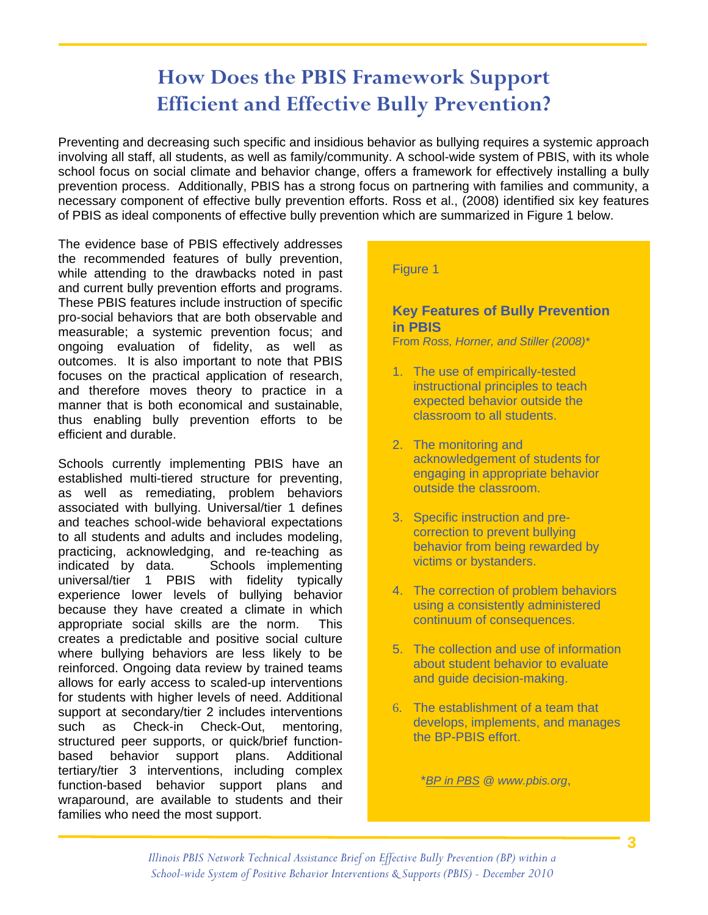## **How Does the PBIS Framework Support Efficient and Effective Bully Prevention?**

Preventing and decreasing such specific and insidious behavior as bullying requires a systemic approach involving all staff, all students, as well as family/community. A school-wide system of PBIS, with its whole school focus on social climate and behavior change, offers a framework for effectively installing a bully prevention process. Additionally, PBIS has a strong focus on partnering with families and community, a necessary component of effective bully prevention efforts. Ross et al., (2008) identified six key features of PBIS as ideal components of effective bully prevention which are summarized in Figure 1 below.

The evidence base of PBIS effectively addresses the recommended features of bully prevention, while attending to the drawbacks noted in past and current bully prevention efforts and programs. These PBIS features include instruction of specific pro-social behaviors that are both observable and measurable; a systemic prevention focus; and ongoing evaluation of fidelity, as well as outcomes. It is also important to note that PBIS focuses on the practical application of research, and therefore moves theory to practice in a manner that is both economical and sustainable, thus enabling bully prevention efforts to be efficient and durable.

Ī

Schools currently implementing PBIS have an established multi-tiered structure for preventing, as well as remediating, problem behaviors associated with bullying. Universal/tier 1 defines and teaches school-wide behavioral expectations to all students and adults and includes modeling, practicing, acknowledging, and re-teaching as indicated by data. Schools implementing universal/tier 1 PBIS with fidelity typically experience lower levels of bullying behavior because they have created a climate in which appropriate social skills are the norm. This creates a predictable and positive social culture where bullying behaviors are less likely to be reinforced. Ongoing data review by trained teams allows for early access to scaled-up interventions for students with higher levels of need. Additional support at secondary/tier 2 includes interventions such as Check-in Check-Out, mentoring, structured peer supports, or quick/brief functionbased behavior support plans. Additional tertiary/tier 3 interventions, including complex function-based behavior support plans and wraparound, are available to students and their families who need the most support.

#### Figure 1

### **Key Features of Bully Prevention in PBIS**

From *Ross, Horner, and Stiller (2008)\**

- 1. The use of empirically-tested instructional principles to teach expected behavior outside the classroom to all students.
- 2. The monitoring and acknowledgement of students for engaging in appropriate behavior outside the classroom.
- 3. Specific instruction and precorrection to prevent bullying behavior from being rewarded by victims or bystanders.
- 4. The correction of problem behaviors using a consistently administered continuum of consequences.
- 5. The collection and use of information about student behavior to evaluate and guide decision-making.
- 6. The establishment of a team that develops, implements, and manages the BP-PBIS effort.

\**BP in PBS @ www.pbis.org*,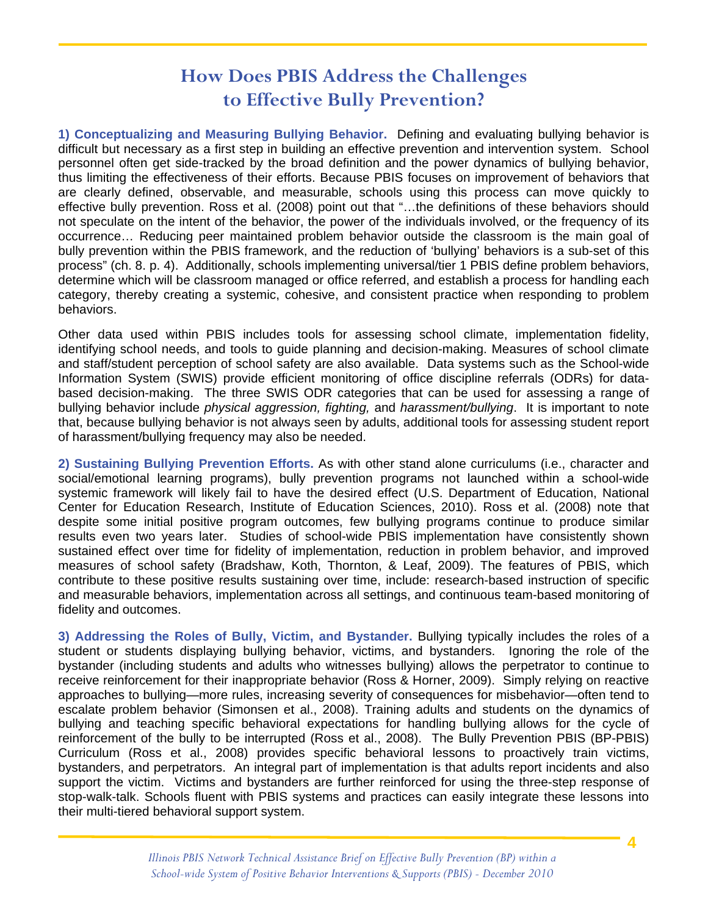## **How Does PBIS Address the Challenges to Effective Bully Prevention?**

Ī

**1) Conceptualizing and Measuring Bullying Behavior.** Defining and evaluating bullying behavior is difficult but necessary as a first step in building an effective prevention and intervention system. School personnel often get side-tracked by the broad definition and the power dynamics of bullying behavior, thus limiting the effectiveness of their efforts. Because PBIS focuses on improvement of behaviors that are clearly defined, observable, and measurable, schools using this process can move quickly to effective bully prevention. Ross et al. (2008) point out that "…the definitions of these behaviors should not speculate on the intent of the behavior, the power of the individuals involved, or the frequency of its occurrence… Reducing peer maintained problem behavior outside the classroom is the main goal of bully prevention within the PBIS framework, and the reduction of 'bullying' behaviors is a sub-set of this process" (ch. 8. p. 4). Additionally, schools implementing universal/tier 1 PBIS define problem behaviors, determine which will be classroom managed or office referred, and establish a process for handling each category, thereby creating a systemic, cohesive, and consistent practice when responding to problem behaviors.

Other data used within PBIS includes tools for assessing school climate, implementation fidelity, identifying school needs, and tools to guide planning and decision-making. Measures of school climate and staff/student perception of school safety are also available. Data systems such as the School-wide Information System (SWIS) provide efficient monitoring of office discipline referrals (ODRs) for databased decision-making. The three SWIS ODR categories that can be used for assessing a range of bullying behavior include *physical aggression, fighting,* and *harassment/bullying*. It is important to note that, because bullying behavior is not always seen by adults, additional tools for assessing student report of harassment/bullying frequency may also be needed.

**2) Sustaining Bullying Prevention Efforts.** As with other stand alone curriculums (i.e., character and social/emotional learning programs), bully prevention programs not launched within a school-wide systemic framework will likely fail to have the desired effect (U.S. Department of Education, National Center for Education Research, Institute of Education Sciences, 2010). Ross et al. (2008) note that despite some initial positive program outcomes, few bullying programs continue to produce similar results even two years later. Studies of school-wide PBIS implementation have consistently shown sustained effect over time for fidelity of implementation, reduction in problem behavior, and improved measures of school safety (Bradshaw, Koth, Thornton, & Leaf, 2009). The features of PBIS, which contribute to these positive results sustaining over time, include: research-based instruction of specific and measurable behaviors, implementation across all settings, and continuous team-based monitoring of fidelity and outcomes.

**3) Addressing the Roles of Bully, Victim, and Bystander.** Bullying typically includes the roles of a student or students displaying bullying behavior, victims, and bystanders. Ignoring the role of the bystander (including students and adults who witnesses bullying) allows the perpetrator to continue to receive reinforcement for their inappropriate behavior (Ross & Horner, 2009). Simply relying on reactive approaches to bullying—more rules, increasing severity of consequences for misbehavior—often tend to escalate problem behavior (Simonsen et al., 2008). Training adults and students on the dynamics of bullying and teaching specific behavioral expectations for handling bullying allows for the cycle of reinforcement of the bully to be interrupted (Ross et al., 2008). The Bully Prevention PBIS (BP-PBIS) Curriculum (Ross et al., 2008) provides specific behavioral lessons to proactively train victims, bystanders, and perpetrators. An integral part of implementation is that adults report incidents and also support the victim. Victims and bystanders are further reinforced for using the three-step response of stop-walk-talk. Schools fluent with PBIS systems and practices can easily integrate these lessons into their multi-tiered behavioral support system.

**4**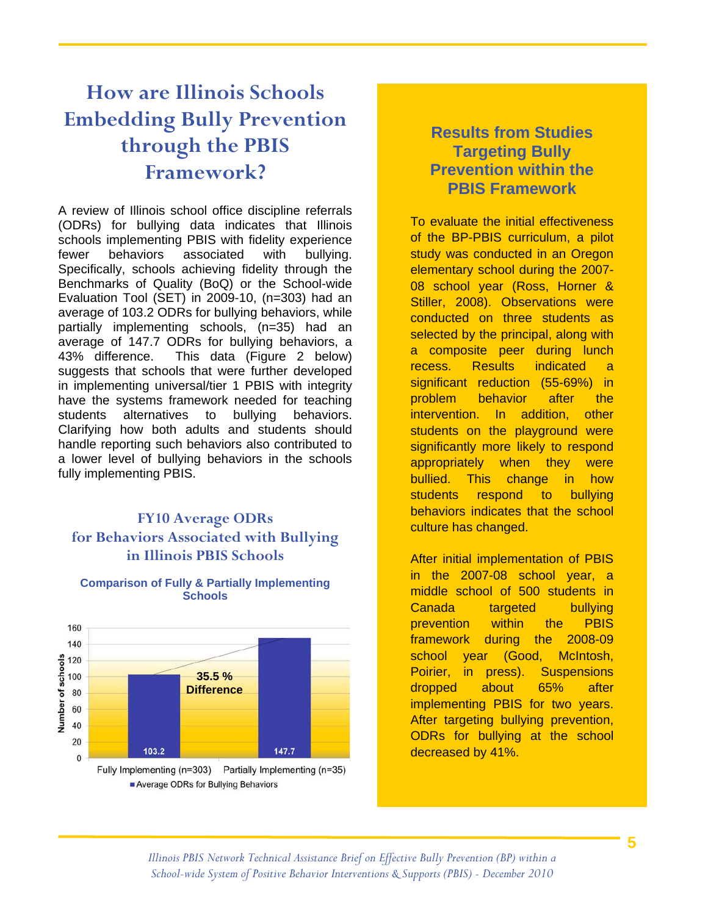## **How are Illinois Schools Embedding Bully Prevention through the PBIS Framework?**

Ī

A review of Illinois school office discipline referrals (ODRs) for bullying data indicates that Illinois schools implementing PBIS with fidelity experience fewer behaviors associated with bullying. Specifically, schools achieving fidelity through the Benchmarks of Quality (BoQ) or the School-wide Evaluation Tool (SET) in 2009-10, (n=303) had an average of 103.2 ODRs for bullying behaviors, while partially implementing schools, (n=35) had an average of 147.7 ODRs for bullying behaviors, a 43% difference. This data (Figure 2 below) suggests that schools that were further developed in implementing universal/tier 1 PBIS with integrity have the systems framework needed for teaching students alternatives to bullying behaviors. Clarifying how both adults and students should handle reporting such behaviors also contributed to a lower level of bullying behaviors in the schools fully implementing PBIS.

### **FY10 Average ODRs for Behaviors Associated with Bullying in Illinois PBIS Schools**



#### **Comparison of Fully & Partially Implementing Schools**

### **Results from Studies Targeting Bully Prevention within the PBIS Framework**

To evaluate the initial effectiveness of the BP-PBIS curriculum, a pilot study was conducted in an Oregon elementary school during the 2007- 08 school year (Ross, Horner & Stiller, 2008). Observations were conducted on three students as selected by the principal, along with a composite peer during lunch recess. Results indicated a significant reduction (55-69%) in problem behavior after the intervention. In addition, other students on the playground were significantly more likely to respond appropriately when they were bullied. This change in how students respond to bullying behaviors indicates that the school culture has changed.

After initial implementation of PBIS in the 2007-08 school year, a middle school of 500 students in Canada targeted bullying prevention within the PBIS framework during the 2008-09 school year (Good, McIntosh, Poirier, in press). Suspensions dropped about 65% after implementing PBIS for two years. After targeting bullying prevention, ODRs for bullying at the school decreased by 41%.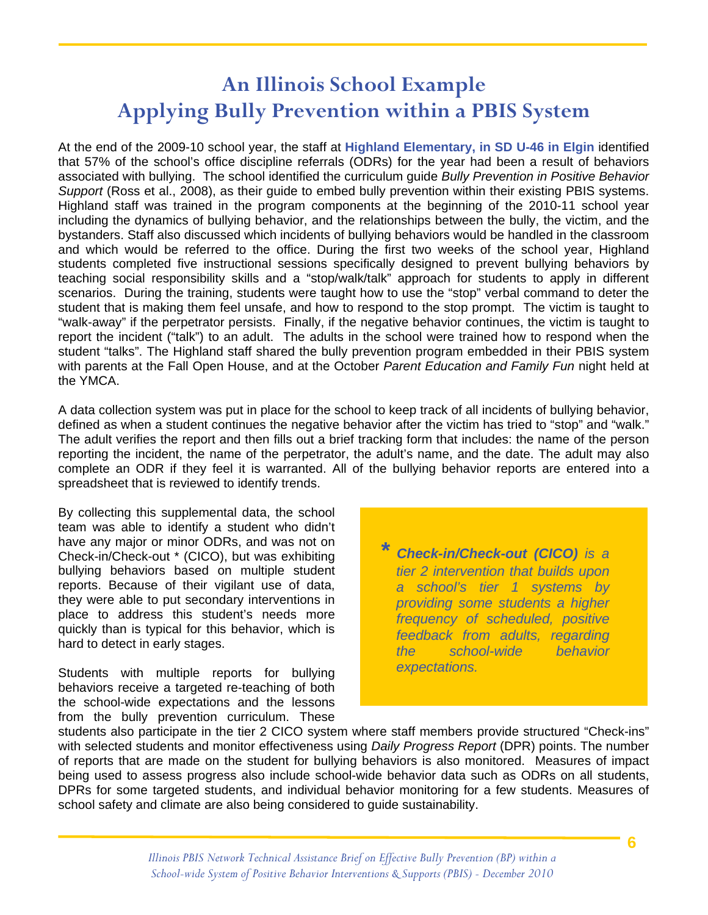# **An Illinois School Example Applying Bully Prevention within a PBIS System**

At the end of the 2009-10 school year, the staff at **Highland Elementary, in SD U-46 in Elgin** identified that 57% of the school's office discipline referrals (ODRs) for the year had been a result of behaviors associated with bullying. The school identified the curriculum guide *Bully Prevention in Positive Behavior Support* (Ross et al., 2008), as their guide to embed bully prevention within their existing PBIS systems. Highland staff was trained in the program components at the beginning of the 2010-11 school year including the dynamics of bullying behavior, and the relationships between the bully, the victim, and the bystanders. Staff also discussed which incidents of bullying behaviors would be handled in the classroom and which would be referred to the office. During the first two weeks of the school year, Highland students completed five instructional sessions specifically designed to prevent bullying behaviors by teaching social responsibility skills and a "stop/walk/talk" approach for students to apply in different scenarios. During the training, students were taught how to use the "stop" verbal command to deter the student that is making them feel unsafe, and how to respond to the stop prompt. The victim is taught to "walk-away" if the perpetrator persists. Finally, if the negative behavior continues, the victim is taught to report the incident ("talk") to an adult. The adults in the school were trained how to respond when the student "talks". The Highland staff shared the bully prevention program embedded in their PBIS system with parents at the Fall Open House, and at the October *Parent Education and Family Fun* night held at the YMCA.

A data collection system was put in place for the school to keep track of all incidents of bullying behavior, defined as when a student continues the negative behavior after the victim has tried to "stop" and "walk." The adult verifies the report and then fills out a brief tracking form that includes: the name of the person reporting the incident, the name of the perpetrator, the adult's name, and the date. The adult may also complete an ODR if they feel it is warranted. All of the bullying behavior reports are entered into a spreadsheet that is reviewed to identify trends.

By collecting this supplemental data, the school team was able to identify a student who didn't have any major or minor ODRs, and was not on Check-in/Check-out \* (CICO), but was exhibiting bullying behaviors based on multiple student reports. Because of their vigilant use of data, they were able to put secondary interventions in place to address this student's needs more quickly than is typical for this behavior, which is hard to detect in early stages.

Ī

Students with multiple reports for bullying behaviors receive a targeted re-teaching of both the school-wide expectations and the lessons from the bully prevention curriculum. These

*\* Check-in/Check-out (CICO) is a tier 2 intervention that builds upon a school's tier 1 systems by providing some students a higher frequency of scheduled, positive feedback from adults, regarding the school-wide behavior expectations.* 

students also participate in the tier 2 CICO system where staff members provide structured "Check-ins" with selected students and monitor effectiveness using *Daily Progress Report* (DPR) points. The number of reports that are made on the student for bullying behaviors is also monitored. Measures of impact being used to assess progress also include school-wide behavior data such as ODRs on all students, DPRs for some targeted students, and individual behavior monitoring for a few students. Measures of school safety and climate are also being considered to guide sustainability.

**6**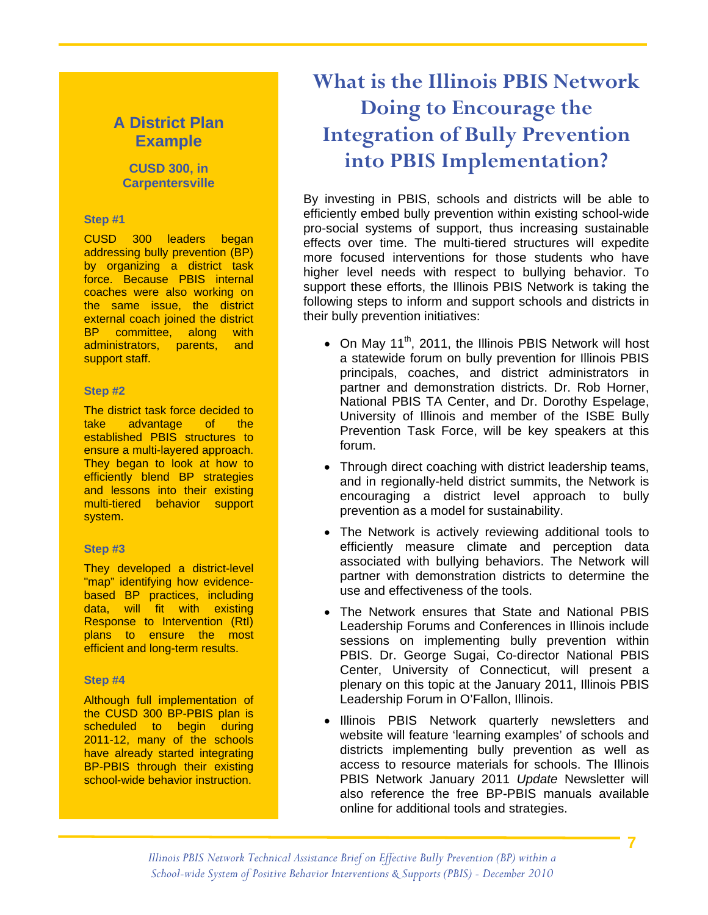### **A District Plan Example**

#### **CUSD 300, in Carpentersville**

#### **Step #1**

Ī

CUSD 300 leaders began addressing bully prevention (BP) by organizing a district task force. Because PBIS internal coaches were also working on the same issue, the district external coach joined the district BP committee, along with administrators, parents, and support staff.

#### **Step #2**

The district task force decided to take advantage of the established PBIS structures to ensure a multi-layered approach. They began to look at how to efficiently blend BP strategies and lessons into their existing multi-tiered behavior support system.

#### **Step #3**

They developed a district-level "map" identifying how evidencebased BP practices, including data, will fit with existing Response to Intervention (RtI) plans to ensure the most efficient and long-term results.

#### **Step #4**

Although full implementation of the CUSD 300 BP-PBIS plan is scheduled to begin during 2011-12, many of the schools have already started integrating BP-PBIS through their existing school-wide behavior instruction.

# **What is the Illinois PBIS Network Doing to Encourage the Integration of Bully Prevention into PBIS Implementation?**

By investing in PBIS, schools and districts will be able to efficiently embed bully prevention within existing school-wide pro-social systems of support, thus increasing sustainable effects over time. The multi-tiered structures will expedite more focused interventions for those students who have higher level needs with respect to bullying behavior. To support these efforts, the Illinois PBIS Network is taking the following steps to inform and support schools and districts in their bully prevention initiatives:

- On May 11<sup>th</sup>, 2011, the Illinois PBIS Network will host a statewide forum on bully prevention for Illinois PBIS principals, coaches, and district administrators in partner and demonstration districts. Dr. Rob Horner, National PBIS TA Center, and Dr. Dorothy Espelage, University of Illinois and member of the ISBE Bully Prevention Task Force, will be key speakers at this forum.
- Through direct coaching with district leadership teams, and in regionally-held district summits, the Network is encouraging a district level approach to bully prevention as a model for sustainability.
- The Network is actively reviewing additional tools to efficiently measure climate and perception data associated with bullying behaviors. The Network will partner with demonstration districts to determine the use and effectiveness of the tools.
- The Network ensures that State and National PBIS Leadership Forums and Conferences in Illinois include sessions on implementing bully prevention within PBIS. Dr. George Sugai, Co-director National PBIS Center, University of Connecticut, will present a plenary on this topic at the January 2011, Illinois PBIS Leadership Forum in O'Fallon, Illinois.
- Illinois PBIS Network quarterly newsletters and website will feature 'learning examples' of schools and districts implementing bully prevention as well as access to resource materials for schools. The Illinois PBIS Network January 2011 *Update* Newsletter will also reference the free BP-PBIS manuals available online for additional tools and strategies.